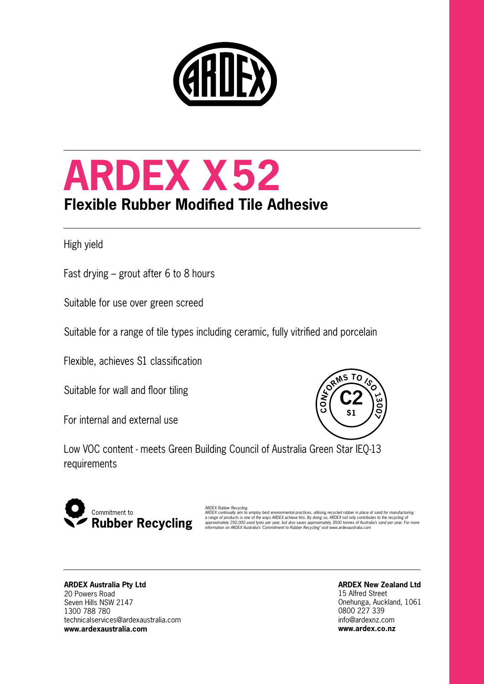

# **ARDEX X52 Flexible Rubber Modified Tile Adhesive**

High yield

Fast drying – grout after 6 to 8 hours

Suitable for use over green screed

Suitable for a range of tile types including ceramic, fully vitrified and porcelain

Flexible, achieves S1 classification

Suitable for wall and floor tiling

For internal and external use



Low VOC content - meets Green Building Council of Australia Green Star IEQ-13 requirements



ARDEX Rubber Recycling<br>ARDEX continually aim to employ best environmental practices, utilising recycled rubber in place of sand for manufacturing<br>a range of products is one of the ways ARDEX achieve this. By doing so, ARDE

#### **ARDEX Australia Pty Ltd** 20 Powers Road Seven Hills NSW 2147 1300 788 780 technicalservices@ardexaustralia.com **www.ardexaustralia.com**

### **ARDEX New Zealand Ltd**

15 Alfred Street Onehunga, Auckland, 1061 0800 227 339 info@ardexnz.com **www.ardex.co.nz**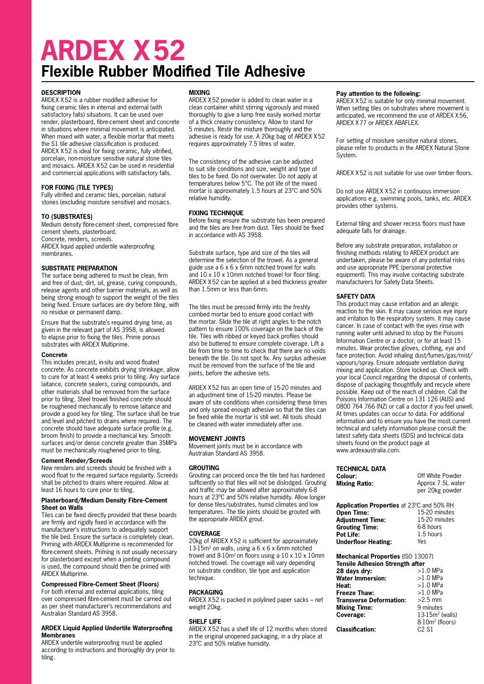### **ARDEX X52 Flexible Rubber Modified Tile Adhesive**

#### **DESCRIPTION**

ARDEX X52 is a rubber modified adhesive for fixing ceramic tiles in internal and external (with satisfactory falls) situations. It can be used over render, plasterboard, fibre-cement sheet and concrete in situations where minimal movement is anticipated. When mixed with water, a flexible mortar that meets the S1 tile adhesive classification is produced. ARDEX X52 is ideal for fixing ceramic, fully vitrified, porcelain, non-moisture sensitive natural stone tiles and mosaics. ARDEX X52 can be used in residential and commercial applications with satisfactory falls.

#### **FOR FIXING (TILE TYPES)**

Fully vitrified and ceramic tiles, porcelain, natural stones (excluding moisture sensitive) and mosaics.

#### **TO (SUBSTRATES)**

Medium density fibre-cement sheet, compressed fibre cement sheets, plasterboard. Concrete, renders, screeds. ARDEX liquid applied undertile waterproofing membranes.

#### **SUBSTRATE PREPARATION**

The surface being adhered to must be clean, firm and free of dust, dirt, oil, grease, curing compounds, release agents and other barrier materials, as well as being strong enough to support the weight of the tiles being fixed. Ensure surfaces are dry before tiling, with no residue or permanent damp.

Ensure that the substrate's required drying time, as given in the relevant part of AS 3958, is allowed to elapse prior to fixing the tiles. Prime porous substrates with ARDEX Multiprime.

#### **Concrete**

This includes precast, in-situ and wood floated concrete. As concrete exhibits drying shrinkage, allow to cure for at least 4 weeks prior to tiling. Any surface laitance, concrete sealers, curing compounds, and other materials shall be removed from the surface prior to tiling. Steel trowel finished concrete should be roughened mechanically to remove laitance and provide a good key for tiling. The surface shall be true and level and pitched to drains where required. The concrete should have adequate surface profile (e.g. broom finish) to provide a mechanical key. Smooth surfaces and/or dense concrete greater than 35MPa must be mechanically roughened prior to tiling.

#### **Cement Render/Screeds**

New renders and screeds should be finished with a wood float to the required surface regularity. Screeds shall be pitched to drains where required. Allow at least 16 hours to cure prior to tiling.

#### **Plasterboard/Medium Density Fibre-Cement Sheet on Walls**

Tiles can be fixed directly provided that these boards are firmly and rigidly fixed in accordance with the manufacturer's instructions to adequately support the tile bed. Ensure the surface is completely clean. Priming with ARDEX Multiprime is recommended for fibre-cement sheets. Priming is not usually necessary for plasterboard except when a jointing compound is used, the compound should then be primed with ARDEX Multiprime.

#### **Compressed Fibre-Cement Sheet (Floors)**

For both internal and external applications, tiling over compressed fibre-cement must be carried out as per sheet manufacturer's recommendations and Australian Standard AS 3958.

#### **ARDEX Liquid Applied Undertile Waterproofing Membranes**

ARDEX undertile waterproofing must be applied according to instructions and thoroughly dry prior to tiling.

#### **MIXING**

ARDEX X52 powder is added to clean water in a clean container whilst stirring vigorously and mixed thoroughly to give a lump free easily worked mortar of a thick creamy consistency. Allow to stand for 5 minutes. Restir the mixture thoroughly and the adhesive is ready for use. A 20kg bag of ARDEX X52 requires approximately 7.5 litres of water.

The consistency of the adhesive can be adjusted to suit site conditions and size, weight and type of tiles to be fixed. Do not overwater. Do not apply at temperatures below 5°C. The pot life of the mixed mortar is approximately 1.5 hours at 23°C and 50% relative humidity.

#### **FIXING TECHNIQUE**

Before fixing ensure the substrate has been prepared and the tiles are free from dust. Tiles should be fixed in accordance with AS 3958.

Substrate surface, type and size of the tiles will determine the selection of the trowel. As a general guide use a 6 x 6 x 6mm notched trowel for walls and 10 x 10 x 10mm notched trowel for floor tiling. ARDEX X52 can be applied at a bed thickness greater than 1.5mm or less than 6mm.

The tiles must be pressed firmly into the freshly combed mortar bed to ensure good contact with the mortar. Slide the tile at right angles to the notch pattern to ensure 100% coverage on the back of the tile. Tiles with ribbed or keyed back profiles should also be buttered to ensure complete coverage. Lift a tile from time to time to check that there are no voids beneath the tile. Do not spot fix. Any surplus adhesive must be removed from the surface of the tile and joints, before the adhesive sets.

ARDEX X52 has an open time of 15-20 minutes and an adjustment time of 15-20 minutes. Please be aware of site conditions when considering these times and only spread enough adhesive so that the tiles can be fixed while the mortar is still wet. All tools should be cleaned with water immediately after use.

#### **MOVEMENT JOINTS**

Movement joints must be in accordance with Australian Standard AS 3958.

#### **GROUTING**

Grouting can proceed once the tile bed has hardened sufficiently so that tiles will not be dislodged. Grouting and traffic may be allowed after approximately 6-8 hours at 23ºC and 50% relative humidity. Allow longer for dense tiles/substrates, humid climates and low temperatures. The tile joints should be grouted with the appropriate ARDEX grout.

#### **COVERAGE**

20kg of ARDEX X52 is sufficient for approximately 13-15 $m<sup>2</sup>$  on walls, using a 6 x 6 x 6 $mm$  notched trowel and  $8-10m^2$  on floors using a  $10 \times 10 \times 10$ mm notched trowel. The coverage will vary depending on substrate condition, tile type and application technique

#### **PACKAGING**

ARDEX X52 is packed in polylined paper sacks – net weight 20kg.

#### **SHELF LIFE**

ARDEX X52 has a shelf life of 12 months when stored in the original unopened packaging, in a dry place at 23ºC and 50% relative humidity.

#### **Pay attention to the following:**

ARDEX X52 is suitable for only minimal movement. When setting tiles on substrates where movement is anticipated, we recommend the use of ARDEX X56, ARDEX X77 or ARDEX ABAFLEX.

For setting of moisture sensitive natural stones, please refer to products in the ARDEX Natural Stone System.

ARDEX X52 is not suitable for use over timber floors.

Do not use ARDEX X52 in continuous immersion applications e.g. swimming pools, tanks, etc. ARDEX provides other systems.

External tiling and shower recess floors must have adequate falls for drainage.

Before any substrate preparation, installation or finishing methods relating to ARDEX product are undertaken, please be aware of any potential risks and use appropriate PPE (personal protective equipment). This may involve contacting substrate manufacturers for Safety Data Sheets.

#### **SAFETY DATA**

This product may cause irritation and an allergic reaction to the skin. It may cause serious eye injury and irritation to the respiratory system. It may cause cancer. In case of contact with the eyes rinse with running water until advised to stop by the Poisons Information Centre or a doctor, or for at least 15 minutes. Wear protective gloves, clothing, eye and face protection. Avoid inhaling dust/fumes/gas/mist/ vapours/spray. Ensure adequate ventilation during mixing and application. Store locked up. Check with your local Council regarding the disposal of contents, dispose of packaging thoughtfully and recycle where possible. Keep out of the reach of children. Call the Poisons Information Centre on 131 126 (AUS) and 0800 764 766 (NZ) or call a doctor if you feel unwell. At times updates can occur to data. For additional information and to ensure you have the most current technical and safety information please consult the latest safety data sheets (SDS) and technical data sheets found on the product page at www.ardexaustralia.com.

| <b>TECHNICAL DATA</b><br>Colour:<br><b>Mixing Ratio:</b> | Off White Powder<br>Approx 7.5L water<br>per 20kg powder |  |
|----------------------------------------------------------|----------------------------------------------------------|--|
| <b>Application Properties at 23°C and 50% RH</b>         |                                                          |  |
| <b>Open Time:</b>                                        | 15-20 minutes                                            |  |
| <b>Adjustment Time:</b>                                  | 15-20 minutes                                            |  |
| <b>Grouting Time:</b>                                    | 6-8 hours                                                |  |
| Pot Life:                                                | 1.5 hours                                                |  |

Yes

**Mechanical Properties** (ISO 13007) **Tensile Adhesion Strength after** 

**Underfloor Heating:** 

| 28 davs drv:                   | $>1.0$ MPa                  |
|--------------------------------|-----------------------------|
| <b>Water Immersion:</b>        | $>1.0$ MPa                  |
| Heat:                          | $>1.0$ MPa                  |
| Freeze Thaw:                   | $>1.0$ MPa                  |
| <b>Transverse Deformation:</b> | $>2.5$ mm                   |
| <b>Mixing Time:</b>            | 9 minutes                   |
| Coverage:                      | $13-15m2$ (walls)           |
|                                | 8-10m <sup>2</sup> (floors) |
| <b>Classification:</b>         | $C2$ S1                     |
|                                |                             |